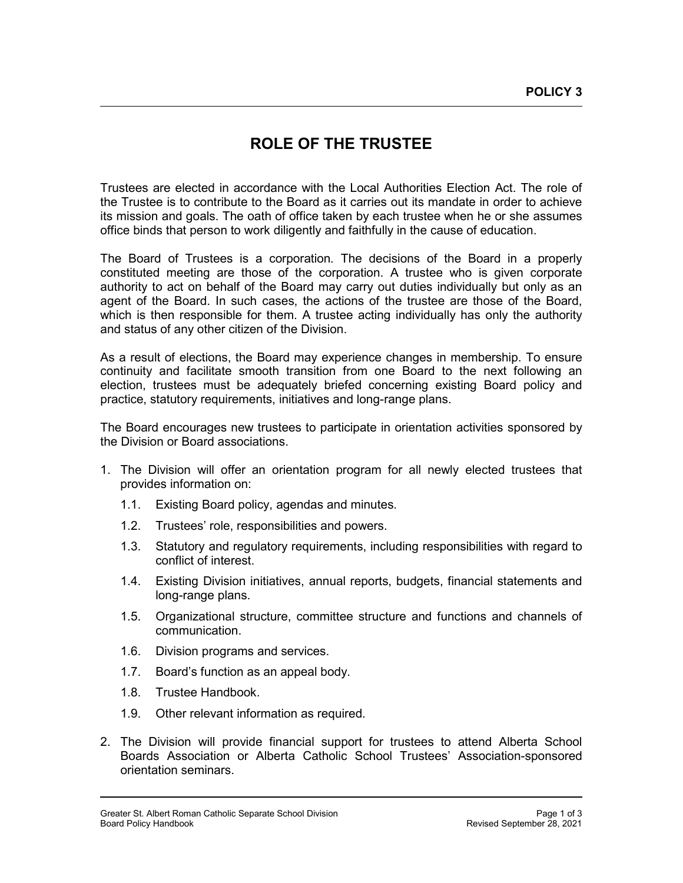## **ROLE OF THE TRUSTEE**

Trustees are elected in accordance with the Local Authorities Election Act. The role of the Trustee is to contribute to the Board as it carries out its mandate in order to achieve its mission and goals. The oath of office taken by each trustee when he or she assumes office binds that person to work diligently and faithfully in the cause of education.

The Board of Trustees is a corporation*.* The decisions of the Board in a properly constituted meeting are those of the corporation. A trustee who is given corporate authority to act on behalf of the Board may carry out duties individually but only as an agent of the Board. In such cases, the actions of the trustee are those of the Board, which is then responsible for them. A trustee acting individually has only the authority and status of any other citizen of the Division.

As a result of elections, the Board may experience changes in membership. To ensure continuity and facilitate smooth transition from one Board to the next following an election, trustees must be adequately briefed concerning existing Board policy and practice, statutory requirements, initiatives and long-range plans.

The Board encourages new trustees to participate in orientation activities sponsored by the Division or Board associations.

- 1. The Division will offer an orientation program for all newly elected trustees that provides information on:
	- 1.1. Existing Board policy, agendas and minutes.
	- 1.2. Trustees' role, responsibilities and powers.
	- 1.3. Statutory and regulatory requirements, including responsibilities with regard to conflict of interest.
	- 1.4. Existing Division initiatives, annual reports, budgets, financial statements and long-range plans.
	- 1.5. Organizational structure, committee structure and functions and channels of communication.
	- 1.6. Division programs and services.
	- 1.7. Board's function as an appeal body.
	- 1.8. Trustee Handbook.
	- 1.9. Other relevant information as required.
- 2. The Division will provide financial support for trustees to attend Alberta School Boards Association or Alberta Catholic School Trustees' Association-sponsored orientation seminars.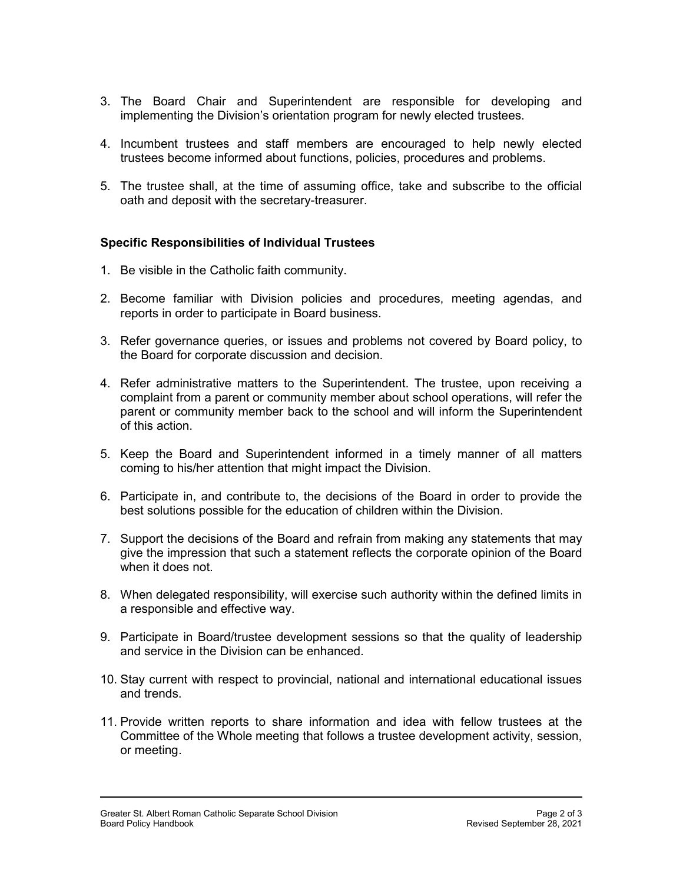- 3. The Board Chair and Superintendent are responsible for developing and implementing the Division's orientation program for newly elected trustees.
- 4. Incumbent trustees and staff members are encouraged to help newly elected trustees become informed about functions, policies, procedures and problems.
- 5. The trustee shall, at the time of assuming office, take and subscribe to the official oath and deposit with the secretary-treasurer.

## **Specific Responsibilities of Individual Trustees**

- 1. Be visible in the Catholic faith community.
- 2. Become familiar with Division policies and procedures, meeting agendas, and reports in order to participate in Board business.
- 3. Refer governance queries, or issues and problems not covered by Board policy, to the Board for corporate discussion and decision.
- 4. Refer administrative matters to the Superintendent. The trustee, upon receiving a complaint from a parent or community member about school operations, will refer the parent or community member back to the school and will inform the Superintendent of this action.
- 5. Keep the Board and Superintendent informed in a timely manner of all matters coming to his/her attention that might impact the Division.
- 6. Participate in, and contribute to, the decisions of the Board in order to provide the best solutions possible for the education of children within the Division.
- 7. Support the decisions of the Board and refrain from making any statements that may give the impression that such a statement reflects the corporate opinion of the Board when it does not.
- 8. When delegated responsibility, will exercise such authority within the defined limits in a responsible and effective way.
- 9. Participate in Board/trustee development sessions so that the quality of leadership and service in the Division can be enhanced.
- 10. Stay current with respect to provincial, national and international educational issues and trends.
- 11. Provide written reports to share information and idea with fellow trustees at the Committee of the Whole meeting that follows a trustee development activity, session, or meeting.